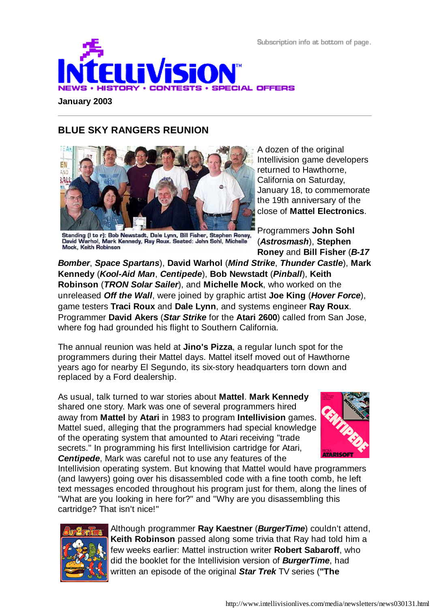Subscription info at bottom of page.



**January 2003**

## **BLUE SKY RANGERS REUNION**



Standing (I to r): Bob Newstadt, Dale Lynn, Bill Fisher, Stephen Roney, David Warhol, Mark Kennedy, Ray Roux. Seated: John Sohl, Michelle Mock. Keith Robinson

A dozen of the original Intellivision game developers returned to Hawthorne, California on Saturday, January 18, to commemorate the 19th anniversary of the close of **Mattel Electronics**.

Programmers **John Sohl** (*Astrosmash*), **Stephen Roney** and **Bill Fisher** (*B-17*

*Bomber*, *Space Spartans*), **David Warhol** (*Mind Strike*, *Thunder Castle*), **Mark Kennedy** (*Kool-Aid Man*, *Centipede*), **Bob Newstadt** (*Pinball*), **Keith Robinson** (*TRON Solar Sailer*), and **Michelle Mock**, who worked on the unreleased *Off the Wall*, were joined by graphic artist **Joe King** (*Hover Force*), game testers **Traci Roux** and **Dale Lynn**, and systems engineer **Ray Roux**. Programmer **David Akers** (*Star Strike* for the **Atari 2600**) called from San Jose, where fog had grounded his flight to Southern California.

The annual reunion was held at **Jino's Pizza**, a regular lunch spot for the programmers during their Mattel days. Mattel itself moved out of Hawthorne years ago for nearby El Segundo, its six-story headquarters torn down and replaced by a Ford dealership.

As usual, talk turned to war stories about **Mattel**. **Mark Kennedy** shared one story. Mark was one of several programmers hired away from **Mattel** by **Atari** in 1983 to program **Intellivision** games. Mattel sued, alleging that the programmers had special knowledge of the operating system that amounted to Atari receiving "trade secrets." In programming his first Intellivision cartridge for Atari, *Centipede*, Mark was careful not to use any features of the



Intellivision operating system. But knowing that Mattel would have programmers (and lawyers) going over his disassembled code with a fine tooth comb, he left text messages encoded throughout his program just for them, along the lines of "What are you looking in here for?" and "Why are you disassembling this cartridge? That isn't nice!"



Although programmer **Ray Kaestner** (*BurgerTime*) couldn't attend, **Keith Robinson** passed along some trivia that Ray had told him a few weeks earlier: Mattel instruction writer **Robert Sabaroff**, who did the booklet for the Intellivision version of *BurgerTime*, had written an episode of the original *Star Trek* TV series (**"The**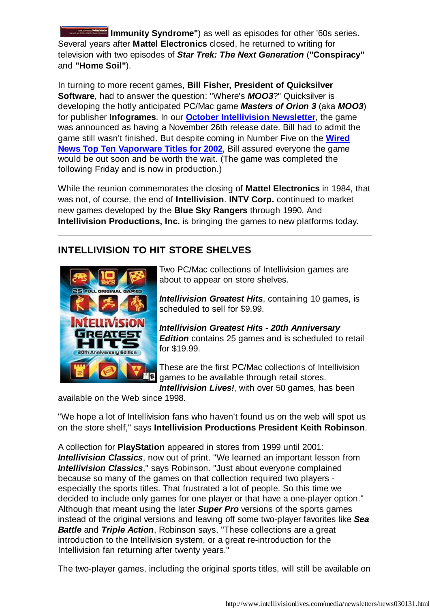**Immunity Syndrome"**) as well as episodes for other '60s series. Several years after **Mattel Electronics** closed, he returned to writing for television with two episodes of *Star Trek: The Next Generation* (**"Conspiracy"** and **"Home Soil"**).

In turning to more recent games, **Bill Fisher, President of Quicksilver Software**, had to answer the question: "Where's *MOO3*?" Quicksilver is developing the hotly anticipated PC/Mac game *Masters of Orion 3* (aka *MOO3*) for publisher **Infogrames**. In our **October Intellivision Newsletter**, the game was announced as having a November 26th release date. Bill had to admit the game still wasn't finished. But despite coming in Number Five on the **Wired News Top Ten Vaporware Titles for 2002**, Bill assured everyone the game would be out soon and be worth the wait. (The game was completed the following Friday and is now in production.)

While the reunion commemorates the closing of **Mattel Electronics** in 1984, that was not, of course, the end of **Intellivision**. **INTV Corp.** continued to market new games developed by the **Blue Sky Rangers** through 1990. And **Intellivision Productions, Inc.** is bringing the games to new platforms today.

# **INTELLIVISION TO HIT STORE SHELVES**



Two PC/Mac collections of Intellivision games are about to appear on store shelves.

*Intellivision Greatest Hits*, containing 10 games, is scheduled to sell for \$9.99.

*Intellivision Greatest Hits - 20th Anniversary Edition* contains 25 games and is scheduled to retail for \$19.99.

These are the first PC/Mac collections of Intellivision  $\Box$  games to be available through retail stores.

*Intellivision Lives!*, with over 50 games, has been

available on the Web since 1998.

"We hope a lot of Intellivision fans who haven't found us on the web will spot us on the store shelf," says **Intellivision Productions President Keith Robinson**.

A collection for **PlayStation** appeared in stores from 1999 until 2001: *Intellivision Classics*, now out of print. "We learned an important lesson from *Intellivision Classics*," says Robinson. "Just about everyone complained because so many of the games on that collection required two players especially the sports titles. That frustrated a lot of people. So this time we decided to include only games for one player or that have a one-player option." Although that meant using the later *Super Pro* versions of the sports games instead of the original versions and leaving off some two-player favorites like *Sea Battle* and *Triple Action*, Robinson says, "These collections are a great introduction to the Intellivision system, or a great re-introduction for the Intellivision fan returning after twenty years."

The two-player games, including the original sports titles, will still be available on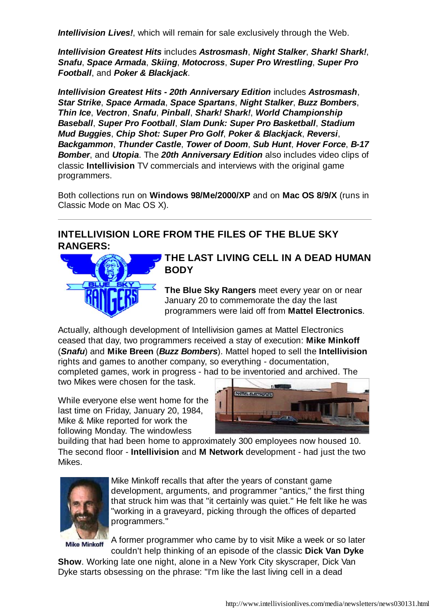**Intellivision Lives!**, which will remain for sale exclusively through the Web.

*Intellivision Greatest Hits* includes *Astrosmash*, *Night Stalker*, *Shark! Shark!*, *Snafu*, *Space Armada*, *Skiing*, *Motocross*, *Super Pro Wrestling*, *Super Pro Football*, and *Poker & Blackjack*.

*Intellivision Greatest Hits - 20th Anniversary Edition* includes *Astrosmash*, *Star Strike*, *Space Armada*, *Space Spartans*, *Night Stalker*, *Buzz Bombers*, *Thin Ice*, *Vectron*, *Snafu*, *Pinball*, *Shark! Shark!*, *World Championship Baseball*, *Super Pro Football*, *Slam Dunk: Super Pro Basketball*, *Stadium Mud Buggies*, *Chip Shot: Super Pro Golf*, *Poker & Blackjack*, *Reversi*, *Backgammon*, *Thunder Castle*, *Tower of Doom*, *Sub Hunt*, *Hover Force*, *B-17 Bomber*, and *Utopia*. The *20th Anniversary Edition* also includes video clips of classic **Intellivision** TV commercials and interviews with the original game programmers.

Both collections run on **Windows 98/Me/2000/XP** and on **Mac OS 8/9/X** (runs in Classic Mode on Mac OS X).

## **INTELLIVISION LORE FROM THE FILES OF THE BLUE SKY RANGERS:**



**THE LAST LIVING CELL IN A DEAD HUMAN BODY**

**The Blue Sky Rangers** meet every year on or near January 20 to commemorate the day the last programmers were laid off from **Mattel Electronics**.

Actually, although development of Intellivision games at Mattel Electronics ceased that day, two programmers received a stay of execution: **Mike Minkoff** (*Snafu*) and **Mike Breen** (*Buzz Bombers*). Mattel hoped to sell the **Intellivision** rights and games to another company, so everything - documentation, completed games, work in progress - had to be inventoried and archived. The

two Mikes were chosen for the task.

While everyone else went home for the last time on Friday, January 20, 1984, Mike & Mike reported for work the following Monday. The windowless



building that had been home to approximately 300 employees now housed 10. The second floor - **Intellivision** and **M Network** development - had just the two Mikes.



Mike Minkoff recalls that after the years of constant game development, arguments, and programmer "antics," the first thing that struck him was that "it certainly was quiet." He felt like he was "working in a graveyard, picking through the offices of departed programmers."

**Mike Minkoff** 

A former programmer who came by to visit Mike a week or so later couldn't help thinking of an episode of the classic **Dick Van Dyke**

**Show**. Working late one night, alone in a New York City skyscraper, Dick Van Dyke starts obsessing on the phrase: "I'm like the last living cell in a dead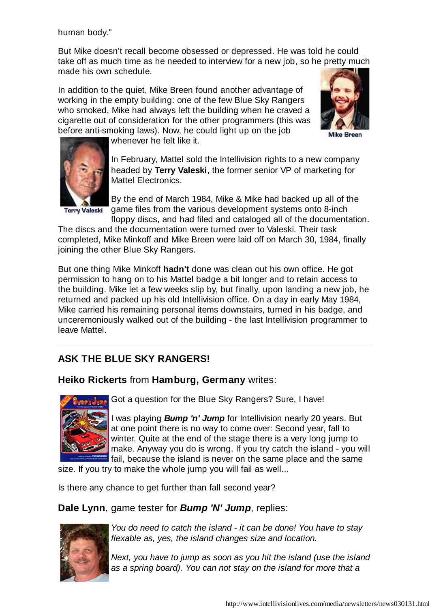human body."

But Mike doesn't recall become obsessed or depressed. He was told he could take off as much time as he needed to interview for a new job, so he pretty much made his own schedule.

In addition to the quiet, Mike Breen found another advantage of working in the empty building: one of the few Blue Sky Rangers who smoked, Mike had always left the building when he craved a cigarette out of consideration for the other programmers (this was before anti-smoking laws). Now, he could light up on the job



**Mike Breen** 



whenever he felt like it.

In February, Mattel sold the Intellivision rights to a new company headed by **Terry Valeski**, the former senior VP of marketing for Mattel Electronics.

**Terry Valeski** 

By the end of March 1984, Mike & Mike had backed up all of the game files from the various development systems onto 8-inch floppy discs, and had filed and cataloged all of the documentation.

The discs and the documentation were turned over to Valeski. Their task completed, Mike Minkoff and Mike Breen were laid off on March 30, 1984, finally joining the other Blue Sky Rangers.

But one thing Mike Minkoff **hadn't** done was clean out his own office. He got permission to hang on to his Mattel badge a bit longer and to retain access to the building. Mike let a few weeks slip by, but finally, upon landing a new job, he returned and packed up his old Intellivision office. On a day in early May 1984, Mike carried his remaining personal items downstairs, turned in his badge, and unceremoniously walked out of the building - the last Intellivision programmer to leave Mattel.

# **ASK THE BLUE SKY RANGERS!**

### **Heiko Rickerts** from **Hamburg, Germany** writes:



Got a question for the Blue Sky Rangers? Sure, I have!

I was playing *Bump 'n' Jump* for Intellivision nearly 20 years. But at one point there is no way to come over: Second year, fall to winter. Quite at the end of the stage there is a very long jump to make. Anyway you do is wrong. If you try catch the island - you will fail, because the island is never on the same place and the same

size. If you try to make the whole jump you will fail as well...

Is there any chance to get further than fall second year?

### **Dale Lynn**, game tester for *Bump 'N' Jump*, replies:



*You do need to catch the island - it can be done! You have to stay flexable as, yes, the island changes size and location.*

*Next, you have to jump as soon as you hit the island (use the island as a spring board). You can not stay on the island for more that a*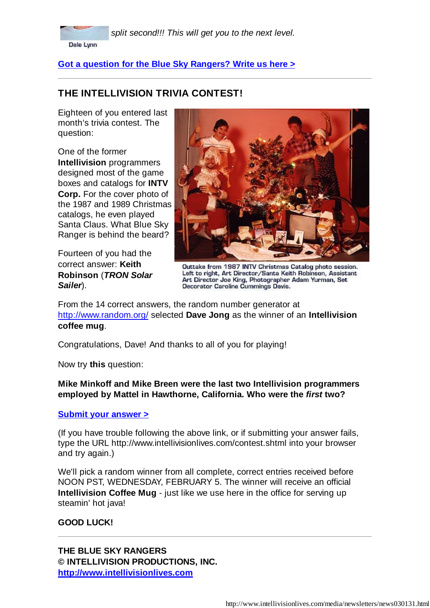

*split second!!! This will get you to the next level.*

**Got a question for the Blue Sky Rangers? Write us here >**

## **THE INTELLIVISION TRIVIA CONTEST!**

Eighteen of you entered last month's trivia contest. The question:

One of the former **Intellivision** programmers designed most of the game boxes and catalogs for **INTV Corp.** For the cover photo of the 1987 and 1989 Christmas catalogs, he even played Santa Claus. What Blue Sky Ranger is behind the beard?

Fourteen of you had the correct answer: **Keith Robinson** (*TRON Solar Sailer*).



Outtake from 1987 INTV Christmas Catalog photo session. Left to right, Art Director/Santa Keith Robinson, Assistant Art Director Joe King, Photographer Adam Yurman, Set<br>Decorator Caroline Cummings Davis.

From the 14 correct answers, the random number generator at http://www.random.org/ selected **Dave Jong** as the winner of an **Intellivision coffee mug**.

Congratulations, Dave! And thanks to all of you for playing!

Now try **this** question:

**Mike Minkoff and Mike Breen were the last two Intellivision programmers employed by Mattel in Hawthorne, California. Who were the** *first* **two?**

### **Submit your answer >**

(If you have trouble following the above link, or if submitting your answer fails, type the URL http://www.intellivisionlives.com/contest.shtml into your browser and try again.)

We'll pick a random winner from all complete, correct entries received before NOON PST, WEDNESDAY, FEBRUARY 5. The winner will receive an official **Intellivision Coffee Mug** - just like we use here in the office for serving up steamin' hot java!

### **GOOD LUCK!**

**THE BLUE SKY RANGERS © INTELLIVISION PRODUCTIONS, INC. http://www.intellivisionlives.com**